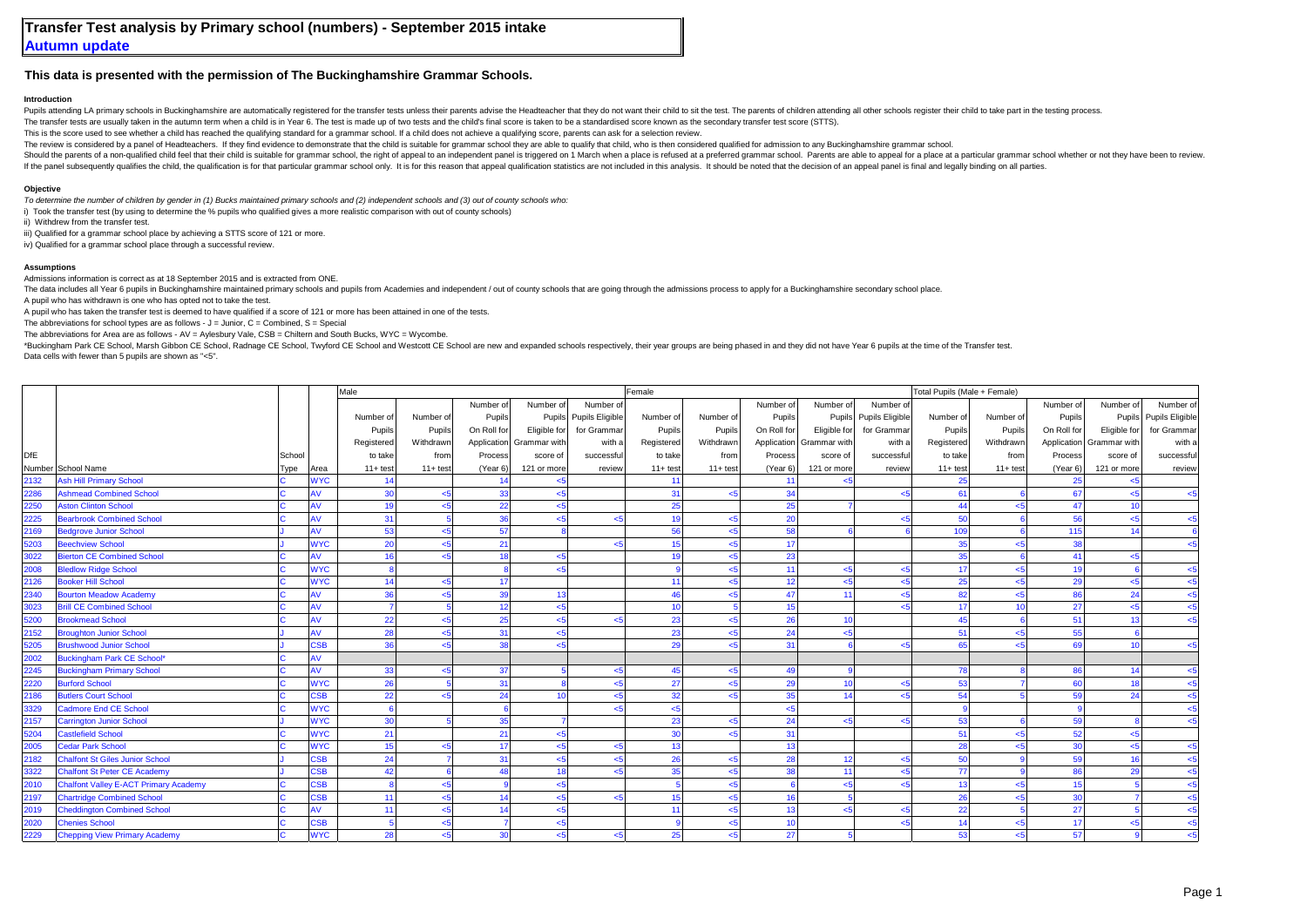## **This data is presented with the permission of The Buckinghamshire Grammar Schools.**

## **Introduction**

Pupils attending LA primary schools in Buckinghamshire are automatically registered for the transfer tests unless their parents advise the Headteacher that they do not want their child to sit the test. The parents of child

The transfer tests are usually taken in the autumn term when a child is in Year 6. The test is made up of two tests and the child's final score is taken to be a standardised score known as the secondary transfer test score

This is the score used to see whether a child has reached the qualifying standard for a grammar school. If a child does not achieve a qualifying score, parents can ask for a selection review.

The review is considered by a panel of Headteachers. If they find evidence to demonstrate that the child is suitable for grammar school they are able to qualify that child, who is then considered qualified for admission to

Should the parents of a non-qualified child feel that their child is suitable for grammar school, the right of appeal to an independent panel is triggered on 1 March when a place is refused at a preferred grammar school. P If the panel subsequently qualifies the child, the qualification is for that panelication is for that panelication is for that panelication school only. It is for this reason that appeal qualification statistics are not in

## **Objective**

*To determine the number of children by gender in (1) Bucks maintained primary schools and (2) independent schools and (3) out of county schools who:*

i) Took the transfer test (by using to determine the % pupils who qualified gives a more realistic comparison with out of county schools)

ii) Withdrew from the transfer test.

iii) Qualified for a grammar school place by achieving a STTS score of 121 or more.

iv) Qualified for a grammar school place through a successful review.

## **Assumptions**

Admissions information is correct as at 18 September 2015 and is extracted from ONE.

The data includes all Year 6 pupils in Buckinghamshire maintained primary schools and pupils from Academies and independent / out of county schools that are going through the admissions process to apply for a Buckinghamshi

A pupil who has withdrawn is one who has opted not to take the test.

A pupil who has taken the transfer test is deemed to have qualified if a score of 121 or more has been attained in one of the tests.

The abbreviations for school types are as follows -  $J =$  Junior,  $C =$  Combined,  $S =$  Special

The abbreviations for Area are as follows - AV = Aylesbury Vale, CSB = Chiltern and South Bucks, WYC = Wycombe.

\*Buckingham Park CE School, Marsh Gibbon CE School, Radnage CE School, Twyford CE School and Westcott CE School are new and expanded schools respectively, their year groups are being phased in and they did not have Year 6 Data cells with fewer than 5 pupils are shown as "<5".

|      |                                              |        |                       | Male        |                         |                 |                          |                        | Female         |                |             |              |                        | Total Pupils (Male + Female) |              |                 |                          |                        |
|------|----------------------------------------------|--------|-----------------------|-------------|-------------------------|-----------------|--------------------------|------------------------|----------------|----------------|-------------|--------------|------------------------|------------------------------|--------------|-----------------|--------------------------|------------------------|
|      |                                              |        |                       |             |                         | Number of       | Number of                | Number of              |                |                | Number of   | Number of    | Number of              |                              |              | Number of       | Number of                | Number of              |
|      |                                              |        |                       | Number of   | Number of               | Pupils          |                          | Pupils Pupils Eligible | Number of      | Number of      | Pupils      |              | Pupils Pupils Eligible | Number of                    | Number of    | Pupils          |                          | Pupils Pupils Eligible |
|      |                                              |        |                       | Pupils      | Pupils                  | On Roll for     | Eligible for             | for Grammar            | Pupils         | Pupils         | On Roll for | Eligible for | for Grammar            | Pupils                       | Pupils       | On Roll for     | Eligible for             | for Grammar            |
|      |                                              |        |                       | Registered  | Withdrawn               |                 | Application Grammar with | with a                 | Registered     | Withdrawn      | Application | Grammar with | with a                 | Registered                   | Withdrawn    |                 | Application Grammar with | with a                 |
| DfE  |                                              | School |                       | to take     | from                    | Process         | score of                 | successful             | to take        | from           | Process     | score of     | successful             | to take                      | from         | Process         | score of                 | successful             |
|      | Number School Name                           | Type   | Area                  | $11 + test$ | $11+ test$              | (Year 6)        | 121 or more              | review                 | $11+ test$     | $11+ test$     | (Year 6)    | 121 or more  | review                 | $11+ test$                   | $11 + test$  | (Year 6)        | 121 or more              | review                 |
| 2132 | <b>Ash Hill Primary School</b>               |        | <b>WYC</b>            | 14          |                         | 14              | 5                        |                        | 11             |                | 11          | $5 - 5$      |                        | 25                           |              | 25              | $5$                      |                        |
| 2286 | <b>Ashmead Combined School</b>               |        | AV                    | 30          | $5$                     | 33 <sup>1</sup> | $5$                      |                        | 31             | < 5            | 34          |              | <5                     | 61                           |              | 67              | $5$                      | < 5                    |
| 2250 | <b>Aston Clinton School</b>                  |        | AV                    | 19          | < 5                     | 22              | $5$                      |                        | 25             |                | 25          |              |                        | 44                           |              | 47              | 10                       |                        |
| 2225 | <b>Bearbrook Combined School</b>             |        | AV                    | 31          |                         | 36              | 5-                       |                        | 19             |                | 20          |              | <5                     | 50                           |              | 56              | $5$                      |                        |
| 2169 | <b>Bedgrove Junior School</b>                |        | AV                    | 53          | < 5                     | 57              |                          |                        | 56             |                | 58          |              |                        | 109                          |              | 115             | 14                       |                        |
| 5203 | <b>Beechview School</b>                      |        | <b>WYC</b>            | 20          | 5 <sub>5</sub>          | 21              |                          |                        | 15             |                | 17          |              |                        | 35                           |              | 38              |                          |                        |
| 3022 | <b>Bierton CE Combined School</b>            |        | AV                    | 16          | 5 <sub>5</sub>          | 18              | $5$                      |                        | 19             | -5             | 23          |              |                        | 35                           |              | 41              | $5$                      |                        |
| 2008 | <b>Bledlow Ridge School</b>                  |        | <b>WYC</b>            |             |                         | 8               | $5 - 5$                  |                        |                | $5$            | 11          | < 5          | $<$ 5                  | 17                           | $5$          | 19              |                          | < 5                    |
| 2126 | <b>Booker Hill School</b>                    |        | <b>WYC</b>            | 14          | < 5                     | 17              |                          |                        | 11             | $\leq$ 5       | 12          | $5$          | $<$ 5                  | 25                           | $\leq$ 5     | 29              | <5                       | < 5                    |
| 2340 | <b>Bourton Meadow Academy</b>                |        | AV                    | 36          | $5$                     | 39              | 13                       |                        | 46             |                | 47          | 11           | $<$ 5                  | 82                           | $5$          | 86              | 24                       | < 5                    |
| 3023 | <b>Brill CE Combined School</b>              |        | AV                    |             |                         | 12              | $5$                      |                        | 10             |                | 15          |              | $\leq$ 5               | 17                           | 10           | 27              | $5$                      | < 5                    |
| 5200 | <b>Brookmead School</b>                      |        | AV                    | 22          | < 5                     | 25              | $5 - 5$                  | اے                     | 23             | $\epsilon$ 5   | 26          | 10           |                        | 45                           |              | 51              | 13                       | < 5                    |
| 2152 | <b>Broughton Junior School</b>               |        | AV                    | 28          | < 5                     | 31              | 5                        |                        | 23             |                | 24          | < 5          |                        | 51                           | ءِ           | 55              |                          |                        |
| 5205 | <b>Brushwood Junior School</b>               |        | <b>SB</b>             | 36          | < 5                     | 38              | 5                        |                        | 29             |                | 31          |              | <5                     | 65                           |              | 69              | 10                       |                        |
| 2002 | <b>Buckingham Park CE School*</b>            |        | AV                    |             |                         |                 |                          |                        |                |                |             |              |                        |                              |              |                 |                          |                        |
| 2245 | <b>Buckingham Primary School</b>             |        | AV                    | 33          | < 5                     | 37              |                          | ہے۔                    | 45             | 5 <sub>5</sub> | 49          |              |                        | 78                           |              | 86              | 14                       | < 5                    |
| 2220 | <b>Burford School</b>                        |        | <b>WYC</b>            | 26          |                         | 31              |                          | بے                     | 27             | $\leq$ 5       | 29          | 10           | <5                     | 53                           |              | 60              | 18                       | < 5                    |
| 2186 | <b>Butlers Court School</b>                  |        | SSB                   | 22          | < 5                     | 24              | 10                       | $<$ 5                  | 32             | < 5            | 35          | 14           | $<$ 5                  | 54                           |              | 59              | 24                       | < 5                    |
| 3329 | <b>Cadmore End CE School</b>                 |        | <b>WYC</b>            |             |                         | $\mathbf{g}$    |                          | ا ے                    | 5 <sub>5</sub> |                | < 5         |              |                        |                              |              |                 |                          | <5                     |
| 2157 | <b>Carrington Junior School</b>              |        | <b>WYC</b>            | 30          |                         | 35 <sup>1</sup> |                          |                        | 23             | < 5            | 24          | $5 - 5$      | $<$ 5                  | 53                           |              | 59              |                          | < 5                    |
| 5204 | <b>Castlefield School</b>                    |        | <b>WYC</b>            | 21          |                         | 21              | 5                        |                        | 30             |                | 31          |              |                        | 51                           | $\epsilon$ 5 | 52              | $5$                      |                        |
| 2005 | <b>Cedar Park School</b>                     |        | <b>WYC</b>            | 15          | $<$ 5                   | 17              | $5$                      | $\epsilon$ 5           | 13             |                | 13          |              |                        | 28                           |              | 30 <sup>1</sup> | <5                       | < 5                    |
| 2182 | <b>Chalfont St Giles Junior School</b>       |        | 38B                   | 24          |                         | 31              | 5                        | ا ے                    | 26             | $\leq$ 5       | 28          | 12           | $<$ 5                  | 50                           |              | 59              | 16                       | < 5                    |
| 3322 | <b>Chalfont St Peter CE Academy</b>          |        | <b>SB</b>             | 42          |                         | 48              | 18                       |                        | 35             | $\epsilon$ 5   | 38          | 11           | < 5                    | 77                           |              | 86              | 29                       | < 5                    |
| 2010 | <b>Chalfont Valley E-ACT Primary Academy</b> |        | SSB                   |             | < 5                     | $\mathbf{Q}$    | $5$                      |                        |                | $5$            |             | < 5          | $<$ 5                  | 13                           | ءِ           | 15              |                          | < 5                    |
| 2197 | <b>Chartridge Combined School</b>            |        | $\overline{\text{S}}$ | 11          | < 5                     | 14              | $5 - 5$                  | اے                     | 15             |                | 16          |              |                        | 26                           |              | 30              |                          | $<$ 5                  |
| 2019 | <b>Cheddington Combined School</b>           |        | AV                    | 11          | $\epsilon$ <sub>5</sub> | 14              | < 5                      |                        | 11             |                | 13          | $5 - 5$      | <5                     | 22                           |              | 27              |                          | $5$                    |
| 2020 | <b>Chenies School</b>                        |        | <b>SB</b>             |             | 5 <sub>5</sub>          |                 | 5                        |                        |                |                | 10          |              | $<$ 5                  | 14                           |              | 17              | -5                       |                        |
| 2229 | <b>Chepping View Primary Academy</b>         |        | <b>WYC</b>            | 28          | $\epsilon$ <sub>5</sub> | 30              | $5 - 5$                  | $\epsilon$ 5           | 25             | $\leq$ 5       | 27          |              |                        | 53                           | $\leq$ 5     | 57              |                          |                        |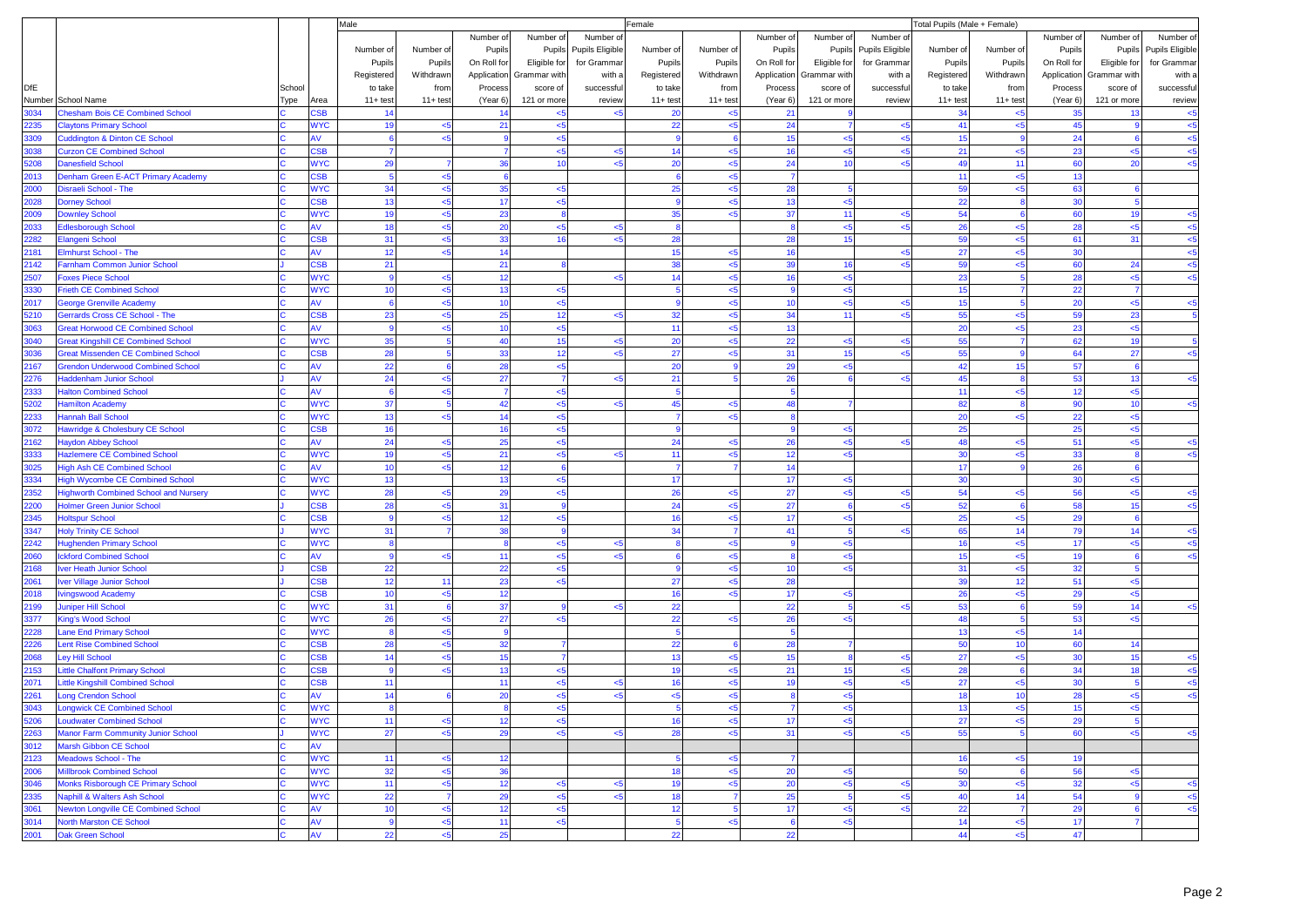|              |                                                                                        |        |                          | Male               |            |              |                |                        | Female         |              |                 |                |                 | Total Pupils (Male + Female) |                |             |                 |                 |
|--------------|----------------------------------------------------------------------------------------|--------|--------------------------|--------------------|------------|--------------|----------------|------------------------|----------------|--------------|-----------------|----------------|-----------------|------------------------------|----------------|-------------|-----------------|-----------------|
|              |                                                                                        |        |                          |                    |            | Number of    | Number of      | Number o               |                |              | Number of       | Number of      | Number of       |                              |                | Number of   | Number of       | Number of       |
|              |                                                                                        |        |                          | Number of          | Number of  | Pupils       |                | Pupils Pupils Eligible | Number of      | Number of    | Pupils          | Pupils         | Pupils Eligible | Number of                    | Number of      | Pupils      | Pupils          | Pupils Eligible |
|              |                                                                                        |        |                          | Pupils             | Pupils     | On Roll for  | Eligible for   | for Grammar            | Pupils         | Pupils       | On Roll for     | Eligible for   | for Grammar     | Pupils                       | Pupils         | On Roll for | Eligible for    | for Grammar     |
|              |                                                                                        |        |                          | Registered         | Withdrawn  | Application  | Grammar with   | with a                 | Registered     | Withdrawn    | Application     | Grammar with   | with a          | Registered                   | Withdrawn      | Application | Grammar with    | with a          |
| <b>DfE</b>   |                                                                                        | School |                          | to take            | from       | Process      | score of       | successful             | to take        | from         | Process         | score of       | successful      | to take                      | from           | Process     | score of        | successful      |
|              | Number School Name                                                                     | Type   | Area                     | $11 + \text{test}$ | $11+ test$ | (Year 6)     | 121 or more    | review                 | $11+ test$     | $11+ test$   | (Year 6)        | 121 or more    | review          | $11+ test$                   | $11+ test$     | (Year 6)    | 121 or more     | review          |
| 3034         | Chesham Bois CE Combined School                                                        |        | <b>SB</b>                | 14                 |            | 14           | 5              |                        | 20             | < 5          | 21              |                |                 | 34                           | <5             | 35          | 13              | $5$             |
| 2235         | <b>Claytons Primary School</b>                                                         |        | <b>NYC</b>               | 19                 | $5$        | 21           | $5$            |                        | 22             | $5$          | 24              | $\overline{7}$ | k               | 41                           | $5$            | 45          |                 | $5$             |
| 3309         | <b>Cuddington &amp; Dinton CE School</b>                                               |        | W                        | 6                  | <5         | -9           | < 5            |                        | 9              |              | 15              | $5 - 5$        | $5$             | 15                           |                | 24          |                 | $5$             |
| 3038         | <b>Curzon CE Combined School</b>                                                       |        | SSB                      |                    |            |              | $5$            |                        | 14             | $\epsilon$ 5 | 16              | $5$            | $5$             | 21                           | <5             | 23          | < 5             | $5$             |
| 5208         | <b>Danesfield School</b>                                                               |        | <b>NYC</b>               | 29                 |            | 36           | 10             |                        | 20             | < 5          | 24              | 10             | k               | 49                           | 11             | 60          | 20              | $5$             |
| 2013         | <b>Denham Green E-ACT Primary Academy</b>                                              |        | <b>SB</b>                | $\overline{5}$     | $5$        | -6           |                |                        | 6              | $5$          | $\overline{7}$  |                |                 | 11                           | $5$            | 13          |                 |                 |
| 2000         | Disraeli School - The                                                                  |        | <b>NYC</b>               | 34                 | $5$        | 35           | < 5            |                        | 25             | < 5          | 28              | -5             |                 | 59                           | $5$            | 63          |                 |                 |
| 2028         | <b>Dorney School</b>                                                                   |        | SSB                      | 13                 | 5          | 17           | < 5            |                        |                | $<$ 5        | 13              | $<$ 5          |                 | 22                           |                | 30          |                 |                 |
| 2009         | <b>Downley School</b>                                                                  |        | <b>NYC</b>               | 19                 | $5$        | 23           | 8              |                        | 35             | <5           | 37              | 11             | k               | 54                           |                | 60          | 19              | $5$             |
| 2033         | <b>Edlesborough School</b>                                                             |        | ۹V                       | 18                 | <5         | 20           | < 5            | $<$ 5                  | 8              |              | 8               | $<$ 5          | $5$             | 26                           | $<$ 5          | 28          | $<$ 5           | < 5             |
| 2282         | <b>Elangeni School</b>                                                                 |        | SSB                      | 31                 | 5          | 33           | 16             |                        | 28             |              | 28              | 15             |                 | 59                           | <5             | 61          | 31              | $5$             |
| 2181         | <b>Elmhurst School - The</b>                                                           |        | W                        | 12                 | $\leq$     | 14           |                |                        | 15             | $5$          | 16              |                | k               | 27                           | $5$            | 30          |                 | $5$             |
| 2142         | Farnham Common Junior School                                                           |        | SSB                      | 21                 |            | 21           | $\mathbf{8}$   |                        | 38             | $5$          | 39              | 16             | k.              | 59                           | $5$            | 60          | 24              | $5$             |
| 2507         | <b>Foxes Piece School</b>                                                              |        | <b>NYC</b>               | $\overline{9}$     | <5         | 12           |                | < 5                    | 14             | $5$          | 16              | < 5            |                 | 23                           |                | 28          | $5$             | $5$             |
| 3330         | <b>Frieth CE Combined School</b>                                                       |        | <b>NYC</b>               | 10                 | $5$        | 13           | $5$            |                        |                | < 5          |                 | $5$            |                 | 15                           |                | 22          |                 |                 |
| 2017         | <b>George Grenville Academy</b>                                                        |        | W<br><b>SB</b>           | 6                  | <5         | 10           | $5$            |                        |                | < 5          | 10              | 5              | k               | 15                           |                | 20          | < 5             | $5$             |
| 5210         | <b>Serrards Cross CE School - The</b>                                                  |        |                          | 23                 | $5$        | 25           | 12             | < 5                    | 32             | < 5          | 34              | 11             | $5$             | 55                           | $5$            | 59          | 23              |                 |
| 3063         | <b>Great Horwood CE Combined School</b>                                                |        | W<br><b>NYC</b>          | 9<br>35            | $5$        | 10<br>40     | $5$<br>15      |                        | 11<br>20       | $5$<br>< 5   | 13<br>22        |                |                 | 20<br>55                     | $5$            | 23          | < 5<br>19       |                 |
| 3040<br>3036 | <b>Sreat Kingshill CE Combined School</b><br><b>Great Missenden CE Combined School</b> |        | S <sub>B</sub>           | 28                 |            | 33           | 12             | <5<br>$5$              | 27             | $5$          | 31              | $<$ 5<br>15    | k<br>k          | 55                           |                | 62          | 27              | $5$             |
| 2167         | <b>Srendon Underwood Combined School</b>                                               |        | AV                       | 22                 |            | 28           | $5$            |                        | 20             |              | 29              | $5$            |                 | 42                           | 15             | 64<br>57    | 6               |                 |
| 2276         | laddenham Junior School                                                                |        | ۹V                       | 24                 | $5$        | 27           | $\overline{7}$ | $\epsilon$ 5           | 21             |              | 26              |                | 45              | 45                           |                | 53          | 13              | $5$             |
| 2333         | <b>Ialton Combined School</b>                                                          |        | W                        | 6                  | $\leq 5$   |              | $5$            |                        | 5              |              |                 |                |                 | 11                           | $5$            | 12          | $5$             |                 |
| 5202         | <b>Jamilton Academy</b>                                                                |        | <b>NYC</b>               | 37                 |            | 42           | $5$            | $5$                    | 45             | < 5          | 48              | $\overline{7}$ |                 | 82                           |                | 90          | 10              | $5$             |
| 2233         | Hannah Ball School                                                                     |        | <b>NYC</b>               | 13                 | $5$        | 14           | $5$            |                        |                | $5$          | я               |                |                 | 20                           | $5$            | 22          | < 5             |                 |
| 3072         | lawridge & Cholesbury CE School                                                        |        | <b>SB</b>                | 16                 |            | 16           | $5 - 5$        |                        |                |              |                 | $<$ 5          |                 | 25                           |                | 25          | $5$             |                 |
| 2162         | <b>Haydon Abbey School</b>                                                             |        | W                        | 24                 | $5$        | 25           | $5$            |                        | 24             | $5$          | 26              | <5             | k               | 48                           | $5$            | 51          | $5$             | $5$             |
| 3333         | <b>Hazlemere CE Combined School</b>                                                    |        | <b>NYC</b>               | 19                 | <5         | 21           | $5$            | < 5                    | 11             | $5$          | 12              | < 5            |                 | 30                           | $5$            | 33          |                 | $5$             |
| 3025         | ligh Ash CE Combined School                                                            |        | w                        | 10                 | 5          | 12           |                |                        |                |              | 14              |                |                 | 17                           |                | 26          |                 |                 |
| 3334         | ligh Wycombe CE Combined School                                                        |        | <b>NYC</b>               | 13                 |            | 13           | < 5            |                        | 17             |              | 17              | < 5            |                 | 30                           |                | 30          | $5$             |                 |
| 2352         | lighworth Combined School and Nursery                                                  |        | <b>NYC</b>               | 28                 | 5          | 29           | $5$            |                        | 26             | < 5          | 27              | $5$            | k               | 54                           | $5$            | 56          | < 5             | $5$             |
| 2200         | <b>Iolmer Green Junior School</b>                                                      |        | <b>SB</b>                | 28                 | <5         | 31           | 9              |                        | 24             | $5$          | 27              | - 6            | $5$             | 52                           |                | 58          | 15              | $5$             |
| 2345         | <b>Ioltspur School</b>                                                                 |        | <b>SB</b>                | 9                  | $5$        | 12           | < 5            |                        | 16             | < 5          | 17              | $<$ 5          |                 | 25                           | $5$            | 29          |                 |                 |
| 3347         | <b>Holy Trinity CE School</b>                                                          |        | <b>NYC</b>               | 31                 |            | 38           | $\overline{9}$ |                        | 34             |              | 41              | -5             | k               | 65                           | 14             | 79          | 14              | $5$             |
| 2242         | <b>Iughenden Primary School</b>                                                        |        | <b>NYC</b>               | 8                  |            | -8           | < 5            | $<$ 5                  | 8              | < 5          |                 | $<$ 5          |                 | 16                           | $<$ 5          | 17          | $<$ 5           | $<$ 5           |
| 2060         | <b>Ickford Combined School</b>                                                         |        | W                        | $\overline{9}$     | <5         | 11           | $5$            | -5                     | 6              | < 5          |                 | $5$            |                 | 15                           | $5$            | 19          | -6              | < 5             |
| 2168         | ver Heath Junior School                                                                |        | <b>SB</b>                | 22                 |            | 22           | $5$            |                        |                | < 5          | 10 <sup>1</sup> | $5$            |                 | 31                           | <5             | 32          |                 |                 |
| 2061         | ver Village Junior School                                                              |        | S <sub>B</sub>           | 12                 | 11         | 23           | $5$            |                        | 27             | < 5          | 28              |                |                 | 39                           | 12             | 51          | $5$             |                 |
| 2018         | vingswood Academy                                                                      |        | <b>SB</b>                | 10                 | <5         | 12           |                |                        | 16             | < 5          | 17              | $5$            |                 | 26                           | $5$            | 29          | < 5             |                 |
| 2199         | <b>Juniper Hill School</b>                                                             |        | <b>NYC</b>               | 31                 |            | 37           | 9              | $\epsilon$ 5           | 22             |              | 22              | -5             | k               | 53                           |                | 59          | 14              | $5$             |
| 3377         | <b>Ging's Wood School</b>                                                              |        | <b>NYC</b>               | 26                 | <5         | 27           | < 5            |                        | 22             | $5$          | 26              | <5             |                 | 48                           |                | 53          | $5$             |                 |
| 2228         | ane End Primary School                                                                 |        | <b>NYC</b>               | 8                  | $5$        | 9            |                |                        | -5             |              | 5               |                |                 | 13                           | $5$            | 14          |                 |                 |
| 2226         | <b>Lent Rise Combined School</b>                                                       |        | <b>SB</b>                | 28                 | <5         | 32           | $\overline{7}$ |                        | 22             |              | 28              | $\overline{7}$ |                 | 50                           | 10             | 60          | 14              |                 |
| 2068         | ey Hill School                                                                         |        | <b>SB</b>                | 14                 | 5          | 15           | $\overline{7}$ |                        | 13             | < 5          | 15              |                | 45              | 27                           | $5$            | 30          | 15              | $5$             |
| 2153         | ittle Chalfont Primary School                                                          |        | <b>SB</b>                | $\mathbf{9}$       | $5$        | 13           | $5$            |                        | 19             | $5$          | 21              | 15             | $5$             | 28                           | 6              | 34          | 18              | $5$             |
| 2071         | Little Kingshill Combined School                                                       |        | <b>SB</b>                | 11                 |            | 11           | $5$            | $5$                    | 16             | < 5          | 19              | $5$            | $5$             | 27                           | $5$            | 30          | $5\phantom{.0}$ | $5$             |
| 2261         | <b>Long Crendon School</b>                                                             |        | w                        | 14                 |            | 20           | $5$            | $\epsilon$ 5           | $5$            | < 5          |                 | <5             |                 | 18                           | 10             | 28          | < 5             |                 |
| 3043         | <b>Longwick CE Combined School</b>                                                     |        | <b>WYC</b>               | 8                  |            | $\mathbf{R}$ | $5$            |                        | 5              | <5           |                 | <5             |                 | 13 <sup>1</sup>              | <5             | 15          | $5$             |                 |
| 5206         | <b>Loudwater Combined School</b>                                                       |        | <b>NYC</b>               | 11                 | $5$        | 12           | $\leq 5$       |                        | 16             | $<$ 5        | 17              | $<$ 5          |                 | 27                           | $5$            | 29          | -5              |                 |
| 2263         | <b>Manor Farm Community Junior School</b>                                              |        | <b>WYC</b>               | 27                 | <5         | 29           | $5$            |                        | 28             | $5$          | 31              | <5             | k               | 55                           | -5             | 60          | < 5             | $5 - 5$         |
| 3012         | Marsh Gibbon CE School                                                                 |        | AV                       |                    |            |              |                |                        |                |              |                 |                |                 |                              |                |             |                 |                 |
| 2123         | Meadows School - The                                                                   |        | <b>WYC</b>               | 11                 | < 5        | 12           |                |                        | $\overline{5}$ | $<$ 5        | $\overline{7}$  |                |                 | 16                           | < 5            | 19          |                 |                 |
| 2006         | <b>Millbrook Combined School</b>                                                       |        | <b>WYC</b>               | 32                 | $5$        | 36           |                |                        | 18             | $5$          | 20              | $<$ 5          |                 | 50                           | 6              | 56          | < 5             |                 |
| 3046<br>2335 | <b>Monks Risborough CE Primary School</b>                                              |        | <b>NYC</b><br><b>WYC</b> | 11<br>22           | $5$        | 12<br>29     | < 5<br>< 5     |                        | 19<br>18       | < 5          | 20<br>25        | < 5<br>-5      | $5$<br>$5$      | 30 <sup>1</sup><br>40        | $5$<br>14      | 32          | < 5             | $5$<br>$5$      |
| 3061         | <b>Naphill &amp; Walters Ash School</b><br><b>Newton Longville CE Combined School</b>  |        | AV                       | 10                 |            | 12           | $5$            |                        | 12             |              | 17              | $5$            | $5$             | 22                           | $\overline{7}$ | 54<br>29    |                 | $5$             |
| 3014         | North Marston CE School                                                                |        | AV                       | $\overline{9}$     | $5$<br>$5$ | 11           | $5$            |                        | $5\phantom{1}$ | < 5          | 6               | $5$            |                 | 14                           | $5$            | 17          |                 |                 |
| 2001         | <b>Oak Green School</b>                                                                |        | AV                       | 22                 | <5         | 25           |                |                        | 22             |              | 22              |                |                 | 44                           | $5$            | 47          |                 |                 |
|              |                                                                                        |        |                          |                    |            |              |                |                        |                |              |                 |                |                 |                              |                |             |                 |                 |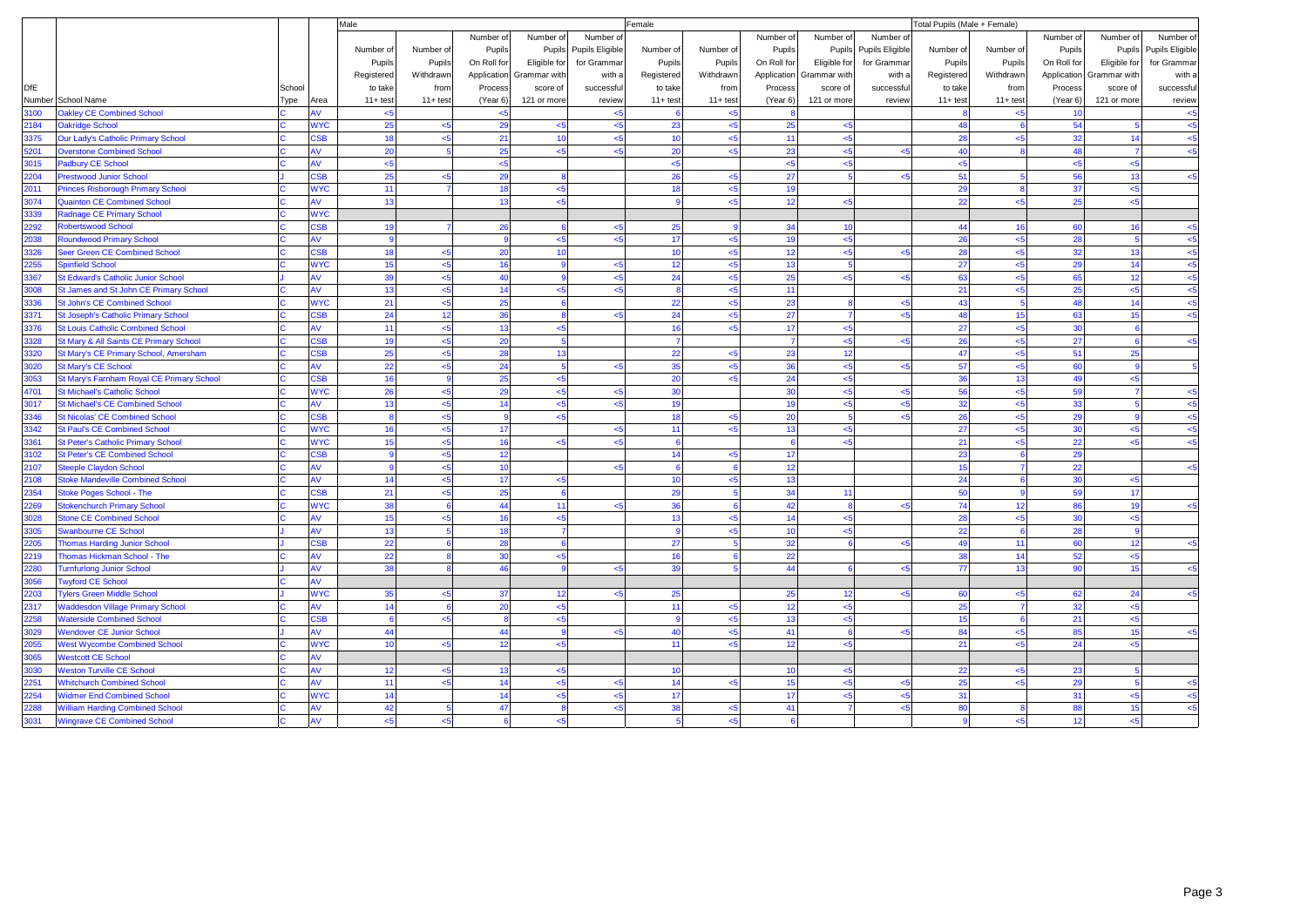|            |                                            |        |            | Male         |            |              |                |                 | Female     |              |                  |                          |                 | Total Pupils (Male + Female) |                |             |                          |                 |
|------------|--------------------------------------------|--------|------------|--------------|------------|--------------|----------------|-----------------|------------|--------------|------------------|--------------------------|-----------------|------------------------------|----------------|-------------|--------------------------|-----------------|
|            |                                            |        |            |              |            | Number of    | Number of      | Number o        |            |              | Number of        | Number of                | Number of       |                              |                | Number of   | Number of                | Number of       |
|            |                                            |        |            | Number of    | Number of  | Pupils       | Pupils         | Pupils Eligible | Number of  | Number of    | Pupils           | Pupils                   | Pupils Eligible | Number of                    | Number of      | Pupils      | Pupils                   | Pupils Eligible |
|            |                                            |        |            | Pupils       | Pupils     | On Roll for  | Eligible for   | for Grammar     | Pupils     | Pupils       | On Roll for      | Eligible for             | for Grammar     | Pupils                       | Pupils         | On Roll for | Eligible for             | for Grammar     |
|            |                                            |        |            | Registered   | Withdrawn  | Application  | Grammar with   | with a          | Registered | Withdrawn    |                  | Application Grammar with | with a          | Registered                   | Withdrawn      |             | Application Grammar with | with a          |
| <b>DfE</b> |                                            | School |            | to take      | from       | Process      | score of       | successful      | to take    | from         | Process          | score of                 | successful      | to take                      | from           | Process     | score of                 | successful      |
|            | Number School Name                         | ype    | Area       | $11 + test$  | $11+ test$ | (Year 6)     | 121 or more    | review          | $11+ test$ | $11+ test$   | (Year 6)         | 121 or more              | review          | $11+ test$                   | $11+ test$     | (Year 6)    | 121 or more              | review          |
| 3100       | <b>Oakley CE Combined School</b>           |        | AV         | 55           |            | $5$          |                |                 |            | $5$          |                  |                          |                 |                              | <5             | 10          |                          | $5$             |
| 2184       | <b>Oakridge School</b>                     |        | <b>WYC</b> | 25           | <5         | 29           | $<$ 5          | $5$             | 23         | < 5          | 25               | $<$ 5                    |                 | 48                           |                | 54          |                          | $<$ 5           |
| 3375       | Our Lady's Catholic Primary School         |        | <b>SB</b>  | 18           | 35         | 21           | 10             | $<$ 5           | 10         | $\leq$ 5     | 11               | $\leq$ 5                 |                 | 28                           | 5 <sub>5</sub> | 32          | 14                       | < 5             |
| 5201       | <b>Overstone Combined School</b>           |        | AV         | 20           |            | 25           | < 5            | $5$             | 20         | $5$          | 23               | $5$                      | 45              | 40                           |                | 48          | $\overline{7}$           | $5$             |
| 3015       | <b>Padbury CE School</b>                   |        | AV         | $5$          |            | $5$          |                |                 | $5$        |              | $\leq 5$         | $<$ 5                    |                 | < 5                          |                | <5          | < 5                      |                 |
| 204        | <b>Prestwood Junior School</b>             |        | <b>SB</b>  | 25           | 5>         | 29           | $\mathbf{R}$   |                 | 26         | $<$ 5        | 27               |                          |                 | 51                           |                | 56          | 13                       | $5$             |
| 2011       | <b>Princes Risborough Primary School</b>   |        | <b>WYC</b> | 11           |            | 18           | < 5            |                 | 18         | $5$          | 19               |                          |                 | 29                           |                | 37          | < 5                      |                 |
| 3074       | <b>Quainton CE Combined School</b>         |        | AV         | 13           |            | 13           | < 5            |                 |            | $5$          | 12               | < 5                      |                 | 22                           | $5 - 5$        | 25          | $5$                      |                 |
| 3339       | <b>Radnage CE Primary School</b>           |        | <b>WYC</b> |              |            |              |                |                 |            |              |                  |                          |                 |                              |                |             |                          |                 |
| 2292       | <b>Robertswood School</b>                  |        | <b>SB</b>  | 19           |            | 26           | -6             | $5$             | 25         | $\mathbf{q}$ | 34               | 10                       |                 | 44                           | 16             | 60          | 16                       | $5$             |
| 2038       | <b>Roundwood Primary School</b>            |        | AV         |              |            |              | < 5            | $5$             | 17         | $5 - 5$      | 19               | $\leq 5$                 |                 | 26                           | $5$            | 28          | 5                        | $5$             |
| 326        | Seer Green CE Combined School              |        | <b>SB</b>  | 18           | 5>         | 20           | 10             |                 | 10         | $<$ 5        | 12               | < 5                      | 2               | 28                           | $5 - 5$        | 32          | 13                       | $<$ 5           |
| 2255       | <b>Spinfield School</b>                    |        | <b>WYC</b> | 15           | <5         | 16           | $\mathbf{q}$   | < 5             | 12         | $5$          | 13               | -5                       |                 | 27                           | 5 <sub>6</sub> | 29          | 14                       | $5$             |
| 367        | <b>St Edward's Catholic Junior School</b>  |        | AV         | 39           | <5         | 40           | $\overline{9}$ | $5$             | 24         | $5$          | 25               | $5$                      | k               | 63                           | <5             | 65          | 12                       | $5$             |
| 8008       | St James and St John CE Primary School     |        | AV         | 13           | k5         | 14           | $\leq 5$       | $\leq$ 5        |            | $\leq$ 5     | 11               |                          |                 | 21                           | 5 <sub>5</sub> | 25          | $\leq 5$                 | $5 - 5$         |
| 3336       | St John's CE Combined School               |        | <b>WYC</b> | 21           | <5         | 25           | 6              |                 | 22         | $5$          | 23               | -8                       | k.              | 43                           |                | 48          | 14                       | $5$             |
| 3371       | <b>St Joseph's Catholic Primary School</b> |        | <b>SB</b>  | 24           | 12         | 36           | $\mathbf{8}$   | < 5             | 24         | $5$          | 27               | $\overline{7}$           | $\prec$         | 48                           | 15             | 63          | 15                       | $5$             |
| 3376       | <b>St Louis Catholic Combined School</b>   |        | w          | 11           | $<$ 5      | 13           | < 5            |                 | 16         | < 5          | 17               | $<$ 5                    |                 | 27                           | < 5            | 30          |                          |                 |
| 3328       | St Mary & All Saints CE Primary School     |        | <b>SB</b>  | 19           | <5         | 20           | -5             |                 |            |              | $\overline{7}$   | < 5                      | k.              | 26                           | $5 - 5$        | 27          | 6                        | $5$             |
| 3320       | St Mary's CE Primary School, Amersham      |        | <b>SB</b>  | 25           | $\leq$     | 28           | 13             |                 | 22         | $5$          | 23               | 12                       |                 | 47                           | $5$            | 51          | 25                       |                 |
| 3020       | <b>St Mary's CE School</b>                 |        | 4V         | 22           | k.         | 24           | $\overline{5}$ | k.              | 35         | $5$          | 36               | < 5                      | k.              | 57                           | $5 - 5$        | 60          |                          | $\overline{5}$  |
| 3053       | St Mary's Farnham Royal CE Primary School  |        | <b>SB</b>  | 16           |            | 25           | < 5            |                 | 20         | $5$          | 24               | $<$ 5                    |                 | 36                           | 13             | 49          | $5$                      |                 |
| 4701       | <b>St Michael's Catholic School</b>        |        | <b>WYC</b> | 26           | <5         | 29           | $\leq$ 5       | < 5             | 30         |              | 30 <sup>1</sup>  | < 5                      | $\prec$         | 56                           | $5 - 5$        | 59          |                          | $5$             |
| 3017       | <b>St Michael's CE Combined School</b>     |        | AV         | 13           | 35         | 14           | $5 - 5$        | 5               | 19         |              | 19               | < 5                      | k               | 32                           | $5 - 5$        | 33          |                          | $5 - 5$         |
| 3346       | <b>St Nicolas' CE Combined School</b>      |        | <b>SB</b>  | $\mathbf{a}$ | 5          | $\mathbf{Q}$ | $5 - 5$        |                 | 18         | $<$ 5        | 20               | -5                       | k.              | 26                           | < 5            | 29          | $\mathbf{Q}$             | $5$             |
| 342        | <b>St Paul's CE Combined School</b>        |        | <b>WYC</b> | 16           | $5$        | 17           |                | $<$ 5           | 11         | $5$          | 13               | $5$                      |                 | 27                           | <5             | 30          | < 5                      | $5$             |
| 3361       | <b>St Peter's Catholic Primary School</b>  |        | <b>WYC</b> | 15           | k.         | 16           | $5 - 5$        | بمر             |            |              |                  | < 5                      |                 | 21                           |                | 22          | < 5                      | $5 - 5$         |
| 3102       | <b>St Peter's CE Combined School</b>       |        | <b>SB</b>  |              | $5$        | 12           |                |                 | 14         | $5$          | 17               |                          |                 | 23                           |                | 29          |                          |                 |
| 2107       | <b>Steeple Claydon School</b>              |        | AV         |              | <5         | 10           |                | < 5             | 6          | 6            | 12 <sup>12</sup> |                          |                 | 15                           |                | 22          |                          | $5 - 5$         |
| 2108       | <b>Stoke Mandeville Combined School</b>    |        | AV         | 14           | <5         | 17           | $\leq$         |                 | 10         | $5$          | 13               |                          |                 | 24                           |                | 30          | $5$                      |                 |
| 2354       | <b>Stoke Poges School - The</b>            |        | <b>CSB</b> | 21           | 5          | 25           | 6              |                 | 29         |              | 34               | 11                       |                 | 50                           |                | 59          | 17                       |                 |
| 2269       | <b>Stokenchurch Primary School</b>         |        | <b>WYC</b> | 38           |            | 44           | 11             | < 5             | 36         |              | 42               | -8                       | k               | 74                           | 12             | 86          | 19                       | $5$             |
| 3028       | <b>Stone CE Combined School</b>            |        | AV         | 15           |            | 16           | $5 - 5$        |                 | 13         | $5 - 5$      | 14               | < 5                      |                 | 28                           | $5 - 5$        | 30          | $5$                      |                 |
| 3305       | <b>Swanbourne CE School</b>                |        | AV         | 13           |            | 18           | $\overline{7}$ |                 | <b>g</b>   | $5$          | 10               | < 5                      |                 | 22                           |                | 28          | -9                       |                 |
| 2205       | <b>Thomas Harding Junior School</b>        |        | <b>SB</b>  | 22           |            | 28           | $\epsilon$     |                 | 27         |              | 32               |                          | k.              | 49                           | 11             | 60          | 12                       | $5$             |
| 2219       | Thomas Hickman School - The                |        | AV         | 22           |            | 30           | < 5            |                 | 16         |              | 22               |                          |                 | 38                           | 14             | 52          | < 5                      |                 |
| 2280       | <b>Turnfurlong Junior School</b>           |        | AV         | 38           |            | 46           | $\mathbf{Q}$   | < 5             | 39         |              | 44               |                          | k.              | 77                           | 13             | 90          | 15                       | $5 - 5$         |
| 8056       | <b>Twyford CE School</b>                   |        | AV         |              |            |              |                |                 |            |              |                  |                          |                 |                              |                |             |                          |                 |
| 2203       | <b>Tylers Green Middle School</b>          |        | <b>WYC</b> | 35           | 35         | 37           | 12             | < 5             | 25         |              | 25               | 12                       | k.              | 60                           | < 5            | 62          | 24                       | $5 - 5$         |
| 2317       | <b>Waddesdon Village Primary School</b>    |        | AV         | 14           |            | 20           | < 5            |                 | 11         | < 5          | 12               | $<$ 5                    |                 | 25                           |                | 32          | $<$ 5                    |                 |
| 2258       | <b>Waterside Combined School</b>           |        | <b>SB</b>  |              | بجے        |              | $5$            |                 |            | $5$          | 13               | <5                       |                 | 15                           |                | 21          | $5$                      |                 |
| 3029       | <b>Wendover CE Junior School</b>           |        | AV         | 44           |            | 44           | $\overline{9}$ | $5$             | 40         | $5$          | 41               | - 6                      | k               | 84                           | $5 - 5$        | 85          | 15                       | $5 - 5$         |
| 055        | <b>West Wycombe Combined School</b>        |        | <b>WYC</b> | 10           | $5$        | 12           | $5$            |                 | 11         | $5$          | 12               | < 5                      |                 | 21                           | $5$            | 24          | $5$                      |                 |
| 3065       | <b>Westcott CE School</b>                  |        |            |              |            |              |                |                 |            |              |                  |                          |                 |                              |                |             |                          |                 |
| 3030       | <b>Weston Turville CE School</b>           |        | AV         | 12           | $5$        | 13           | $\leq$         |                 | 10         |              | 10 <sup>1</sup>  | < 5                      |                 | 22                           | $5$            | 23          |                          |                 |
| 251        | <b>Whitchurch Combined School</b>          |        | AV         | 11           | $5$        | 14           | $5$            | <5              | 14         | $5$          | 15               | <5                       | 45              | 25                           | < 5            | 29          |                          | $5$             |
| 2254       | <b>Widmer End Combined School</b>          |        | <b>WYC</b> | 14           |            | 14           | $5 - 5$        | 5               | 17         |              | 17               | <5                       | k.              | 31                           |                | 31          | $5$                      | $5$             |
| 2288       | <b>William Harding Combined School</b>     |        | AV         | 42           |            | 47           | $\mathbf{R}$   | $5$             | 38         | $5$          | 41               | $\overline{7}$           | k.              | 80                           |                | 88          | 15                       | $5$             |
| 3031       | <b>Wingrave CE Combined School</b>         |        | AV         | $5 - 5$      | <5         | 6            | < 5            |                 | 5          | $5 - 5$      | 6                |                          |                 | 9                            | $5 - 5$        | 12          | < 5                      |                 |